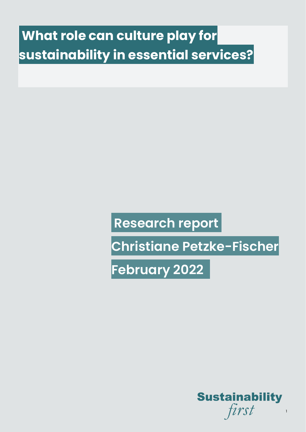# **What role can culture play for sustainability in essential services?**

## **Research report**

**Christiane Petzke-Fischer**

**February 2022** 

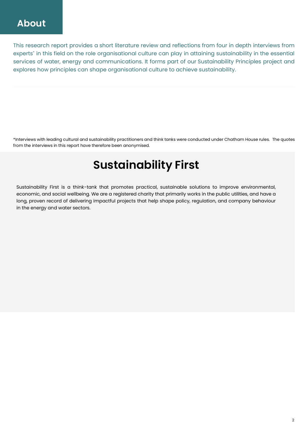This research report provides a short literature review and reflections from four in depth interviews from experts\* in this field on the role organisational culture can play in attaining sustainability in the essential services of water, energy and communications. It forms part of our Sustainability Principles project and explores how principles can shape organisational culture to achieve sustainability.

\*Interviews with leading cultural and sustainability practitioners and think tanks were conducted under Chatham House rules. The quotes from the interviews in this report have therefore been anonymised.

## **Sustainability First**

Sustainability First is a think-tank that promotes practical, sustainable solutions to improve environmental, economic, and social wellbeing. We are a registered charity that primarily works in the public utilities, and have a long, proven record of delivering impactful projects that help shape policy, regulation, and company behaviour in the energy and water sectors.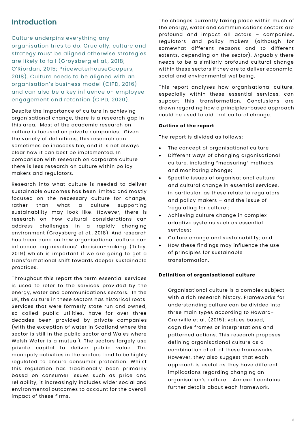## **Introduction**

Culture underpins everything any organisation tries to do. Crucially, culture and strategy must be aligned otherwise strategies are likely to fail (Groysberg et al., 2018; O'Riordan, 2015; PricewaterhouseCoopers, 2018). Culture needs to be aligned with an organisation's business model (CIPD, 2016) and can also be a key influence on employee engagement and retention (CIPD, 2020).

Despite the importance of culture in achieving organisational change, there is a research gap in this area. Most of the academic research on culture is focused on private companies. Given the variety of definitions, this research can sometimes be inaccessible, and it is not always clear how it can best be implemented. In comparison with research on corporate culture there is less research on culture within policy makers and regulators.

Research into what culture is needed to deliver sustainable outcomes has been limited and mostly focused on the necessary culture for change, rather than what a culture supporting sustainability may look like. However, there is research on how cultural considerations can address challenges in a rapidly changing environment (Groysberg et al., 2018). And research has been done on how organisational culture can influence organisations' decision-making (Tilley, 2019) which is important if we are going to get a transformational shift towards deeper sustainable practices.

Throughout this report the term essential services is used to refer to the services provided by the energy, water and communications sectors. In the UK, the culture in these sectors has historical roots. Services that were formerly state run and owned, so called public utilities, have for over three decades been provided by private companies (with the exception of water in Scotland where the sector is still in the public sector and Wales where Welsh Water is a mutual). The sectors largely use private capital to deliver public value. The monopoly activities in the sectors tend to be highly regulated to ensure consumer protection. Whilst this regulation has traditionally been primarily based on consumer issues such as price and reliability, it increasingly includes wider social and environmental outcomes to account for the overall impact of these firms.

The changes currently taking place within much of the energy, water and communications sectors are profound and impact all actors – companies, regulators and policy makers (although for somewhat different reasons and to different extents, depending on the sector). Arguably there needs to be a similarly profound cultural change within these sectors if they are to deliver economic, social and environmental wellbeing.

This report analyses how organisational culture, especially within these essential services, can support this transformation. Conclusions are drawn regarding how a principles-based approach could be used to aid that cultural change.

## **Outline of the report**

The report is divided as follows:

- The concept of organisational culture
- Different ways of changing organisational culture, including "measuring" methods and monitoring change;
- Specific issues of organisational culture and cultural change in essential services, in particular, as these relate to regulators and policy makers – and the issue of 'regulating for culture';
- Achieving culture change in complex adaptive systems such as essential services;
- Culture change and sustainability; and
- How these findings may influence the use of principles for sustainable transformation.

### **Definition of organisational culture**

Organisational culture is a complex subject with a rich research history. Frameworks for understanding culture can be divided into three main types according to Howard-Grenville et al. (2015): values based, cognitive frames or interpretations and patterned actions. This research proposes defining organisational culture as a combination of all of these frameworks. However, they also suggest that each approach is useful as they have different implications regarding changing an organisation's culture. Annexe 1 contains further details about each framework.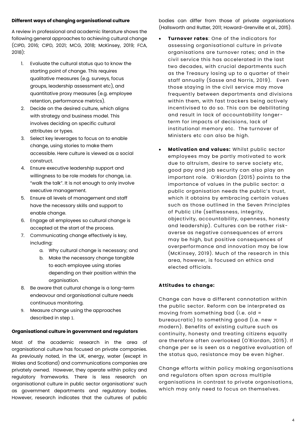## **Different ways of changing organisational culture**

A review in professional and academic literature shows the following general approaches to achieving cultural change (CIPD, 2016; CIPD, 2021; MCG, 2018; McKinsey, 2019; FCA, 2018):

- 1. Evaluate the cultural status quo to know the starting point of change. This requires qualitative measures (e.g. surveys, focus groups, leadership assessment etc), and quantitative proxy measures (e.g. employee retention, performance metrics).
- 2. Decide on the desired culture, which aligns with strategy and business model. This involves deciding on specific cultural attributes or types.
- 3. Select key leverages to focus on to enable change, using stories to make them accessible. Here culture is viewed as a social construct.
- 4. Ensure executive leadership support and willingness to be role models for change, i.e. "walk the talk". It is not enough to only involve executive management.
- 5. Ensure all levels of management and staff have the necessary skills and support to enable change.
- 6. Engage all employees so cultural change is accepted at the start of the process.
- 7. Communicating change effectively is key, including:
	- a. Why cultural change is necessary; and
	- b. Make the necessary change tangible to each employee using stories depending on their position within the organisation.
- 8. Be aware that cultural change is a long-term endeavour and organisational culture needs continuous monitoring.
- 9. Measure change using the approaches described in step 1.

## **Organisational culture in government and regulators**

Most of the academic research in the area of organisational culture has focused on private companies. As previously noted, in the UK, energy, water (except in Wales and Scotland) and communications companies are privately owned. However, they operate within policy and regulatory frameworks. There is less research on organisational culture in public sector organisations' such as government departments and regulatory bodies. However, research indicates that the cultures of public

bodies can differ from those of private organisations (Hallsworth and Rutter, 2011; Howard-Grenville et al., 2015).

- **Turnover rates**: One of the indicators for assessing organisational culture in private organisations are turnover rates; and in the civil service this has accelerated in the last two decades, with crucial departments such as the Treasury losing up to a quarter of their staff annually (Sasse and Norris, 2019). Even those staying in the civil service may move frequently between departments and divisions within them, with fast trackers being actively incentivised to do so. This can be debilitating and result in lack of accountability longerterm for impacts of decisions, lack of institutional memory etc. The turnover of Ministers etc can also be high.
- **Motivation and values:** Whilst public sector employees may be partly motivated to work due to altruism, desire to serve society etc, good pay and job security can also play an important role. O'Riordan (2015) points to the importance of values in the public sector: a public organisation needs the public's trust, which it obtains by embracing certain values such as those outlined in the Seven Principles of Public Life (selflessness, integrity, objectivity, accountability, openness, honesty and leadership). Cultures can be rather riskaverse as negative consequences of errors may be high, but positive consequences of overperformance and innovation may be low (McKinsey, 2019). Much of the research in this area, however, is focused on ethics and elected officials.

## **Attitudes to change:**

Change can have a different connotation within the public sector. Reform can be interpreted as moving from something bad (i.e. old = bureaucratic) to something good (i.e. new = modern). Benefits of existing culture such as continuity, honesty and treating citizens equally are therefore often overlooked (O'Riordan, 2015). If change per se is seen as a negative evaluation of the status quo, resistance may be even higher.

Change efforts within policy making organisations and regulators often span across multiple organisations in contrast to private organisations, which may only need to focus on themselves.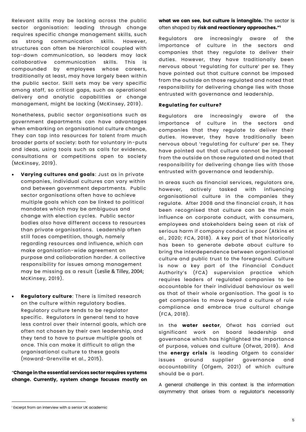Relevant skills may be lacking across the public sector organisation: leading through change requires specific change management skills, such as strong communication skills. However, structures can often be hierarchical coupled with top-down communication, so leaders may lack collaborative communication skills. This is compounded by employees whose careers, traditionally at least, may have largely been within the public sector. Skill sets may be very specific among staff, so critical gaps, such as operational delivery and analytic capabilities or change management, might be lacking (McKinsey, 2019) .

Nonetheless, public sector organisations such as government departments can have advantages when embarking on organisational culture change. They can tap into resources for talent from much broader parts of society: both for voluntary in-puts and ideas, using tools such as calls for evidence, consultations or competitions open to society (McKinsey, 2019).

- **Varying cultures and goals**: Just as in private companies, individual cultures can vary within and between government departments. Public sector organisations often have to achieve multiple goals which can be linked to political mandates which may be ambiguous and change with election cycles. Public sector bodies also have different access to resources than private organisations. Leadership often still faces competition, though, namely regarding resources and influence, which can make organisation-wide agreement on purpose and collaboration harder. A collective responsibility for issues among management may be missing as a result (Leslie & Tilley, 2004; McKinsey, 2019).
- **Regulatory culture**: There is limited research on the culture within regulatory bodies. Regulatory culture tends to be regulator specific. Regulators in general tend to have less control over their internal goals, which are often not chosen by their own leadership, and they tend to have to pursue multiple goals at once. This can make it difficult to align the organisational culture to these goals (Howard-Grenville et al., 2015).

"**Change in the essential services sector requires systems change. Currently, system change focuses mostly on**  **what we can see, but culture is intangible.** The sector is often shaped by **risk and reactionary approaches." 1**

Regulators are increasingly aware of the importance of culture in the sectors and companies that they regulate to deliver their duties. However, they have traditionally been nervous about 'regulating for culture' per se. They have pointed out that culture cannot be imposed from the outside on those regulated and noted that responsibility for delivering change lies with those entrusted with governance and leadership.

## **Regulating for culture?**

Regulators are increasingly aware of the importance of culture in the sectors and companies that they regulate to deliver their duties. However, they have traditionally been nervous about 'regulating for culture' per se. They have pointed out that culture cannot be imposed from the outside on those regulated and noted that responsibility for delivering change lies with those entrusted with governance and leadership.

In areas such as financial services, regulators are, however, actively tasked with influencing organisational culture in the companies they regulate. After 2008 and the financial crash, it has been recognised that culture can be the main influence on corporate conduct, with consumers, employees and stakeholders being seen at risk of serious harm if company conduct is poor (Atkins et al., 2020; FCA, 2018). A key part of that historically has been to generate debate about culture to bring the interdependence between organisational culture and public trust to the foreground. Culture is now a key part of the Financial Conduct Authority's (FCA) supervision practice which requires leaders of regulated companies to be accountable for their individual behaviour as well as that of their whole organisation. The goal is to get companies to move beyond a culture of rule compliance and embrace true cultural change (FCA, 2018).

In the **water sector**, Ofwat has carried out significant work on board leadership and governance which has highlighted the importance of purpose, values and culture (Ofwat, 2019). And the **energy crisis** is leading Ofgem to consider issues around supplier governance and accountability (Ofgem, 2021) of which culture should be a part.

A general challenge in this context is the information asymmetry that arises from a regulator's necessarily

<sup>&</sup>lt;sup>1</sup> Excerpt from an interview with a senior UK academic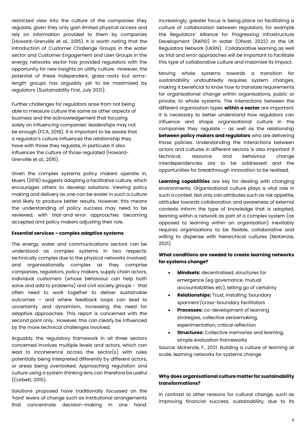restricted view into the culture of the companies they regulate, given they only gain limited physical access and rely on information provided to them by companies (Howard-Grenville et al., 2015). It is worth noting that the introduction of Customer Challenge Groups in the water sector and Customer Engagement and User Groups in the energy networks sector has provided regulators with the opportunity for new insights on utility culture. However, the potential of these independent, grass-roots but armslength groups has arguably yet to be maximised by regulators (Sustainability First, July 2021).

Further challenges for regulators arise from not being able to measure culture the same as other aspects of business and the acknowledgement that focusing solely on influencing companies' leaderships may not be enough (FCA, 2018). It is important to be aware that a regulator's culture influences the relationship they have with those they regulate, in particular it also influences the culture of those regulated (Howard-Grenville et al., 2015).

Given the complex systems policy makers operate in, Muers (2018) suggests adopting a facilitative culture, which encourages others to develop solutions. Viewing policy making and delivery as one can be easier in such a culture and likely to produce better results. However, this means the understanding of policy success may need to be reviewed, with trial-and-error approaches becoming accepted and policy makers adjusting their role.

#### **Essential services – complex adaptive systems**

The energy, water and communications sectors can be understood as complex systems in two respects: technically complex due to the physical networks involved; and organisationally complex as they comprise companies, regulators, policy makers, supply chain actors, individual customers (whose behaviour can help both solve and add to problems) and civil society groups - that often need to work together to deliver sustainable outcomes – and where feedback loops can lead to uncertainty and dynamism, increasing the need for adaptive approaches. This report is concerned with the second point only. However, this can clearly be influenced by the more technical challenges involved.

Arguably, the regulatory framework in all three sectors concerned involves multiple levels and actors, which can lead to incoherence across the sector(s) with rules potentially being interpreted differently by different actors, or areas being overlooked. Approaching regulation and culture using a system thinking lens can therefore be useful (Corbett, 2015).

Solutions proposed have traditionally focussed on the 'hard' levers of change such as institutional arrangements that concentrate decision-making in one hand. Increasingly, greater focus is being place on facilitating a culture of collaboration between regulators, for example the Regulators' Alliance for Progressing Infrastructure Development (RAPID) in water (Ofwat, 2022) or the UK Regulators Network (UKRN). Collaborative learning as well as trial and error approaches will be important to facilitate this type of collaborative culture and maximise its impact.

Moving whole systems towards a transition for sustainability undoubtedly requires system changes, making it beneficial to know how to translate requirements for organisational change within organisations, public or private, to whole systems. The interactions between the different organisation types **within a sector** are important. It is necessary to better understand how regulators can influence and shape organisational culture in the companies they regulate - as well as the relationship **between policy makers and regulators** who are delivering those policies. Understanding the interactions between actors and cultures in different sectors is also important if technical, resource and behaviour change interdependencies are to be addressed and the opportunities for breakthrough innovation to be realised.

**Learning capabilities** are key for dealing with changing environments. Organisational culture plays a vital role in such a context. Not only can attributes such as risk appetite, attitudes towards collaboration and awareness of external contexts inform the type of knowledge that is adopted, learning within a network as part of a complex system (as opposed to learning within an organisation) inevitably requires organisations to be flexible, collaborative and willing to dispense with hierarchical cultures (McKenzie, 2021).

## **What conditions are needed to create learning networks for systems change?**

- **Mindsets:** decentralised, structures for emergence (eg governance, mutual accountabilities etc), letting go of certainty
- **Relationships:** Trust, installing 'boundary spanners'/cross-boundary facilitators
- **Processes:** co-development of learning strategies, collective sensemaking, experimentation, critical reflection
- **Structures:** Collective memories and learning, simple evaluation frameworks

Source: McKenzie, F., 2021. Building a culture of learning at scale: learning networks for systems change

## **Why does organisational culture matter for sustainability transformations?**

In contrast to other reasons for cultural change, such as improving financial success, sustainability, due to its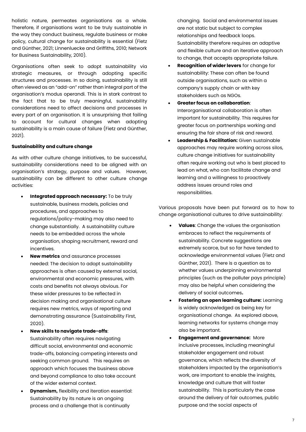holistic nature, permeates organisations as a whole. Therefore, if organisations want to be truly sustainable in the way they conduct business, regulate business or make policy, cultural change for sustainability is essential (Fietz and Günther, 2021; Linnenluecke and Griffiths, 2010; Network for Business Sustainability, 2010).

Organisations often seek to adopt sustainability via strategic measures, or through adopting specific structures and processes. In so doing, sustainability is still often viewed as an "add-on" rather than integral part of the organisation's modus operandi. This is in stark contrast to the fact that to be truly meaningful, sustainability considerations need to affect decisions and processes in every part of an organisation. It is unsurprising that failing to account for cultural changes when adopting sustainability is a main cause of failure (Fietz and Günther, 2021).

### **Sustainability and culture change**

As with other culture change initiatives, to be successful, sustainability considerations need to be aligned with an organisation's strategy, purpose and values. However, sustainability can be different to other culture change activities:

- **Integrated approach necessary:** To be truly sustainable, business models, policies and procedures, and approaches to regulations/policy-making may also need to change substantially. A sustainability culture needs to be embedded across the whole organisation, shaping recruitment, reward and incentives.
- **New metrics** and assurance processes needed: The decision to adopt sustainability approaches is often caused by external social, environmental and economic pressures, with costs and benefits not always obvious. For these wider pressures to be reflected in decision making and organisational culture requires new metrics, ways of reporting and demonstrating assurance (Sustainability First, 2020).
- **New skills to navigate trade-offs**: Sustainability often requires navigating difficult social, environmental and economic trade-offs, balancing competing interests and seeking common ground. This requires an approach which focuses the business above and beyond compliance to also take account of the wider external context.
- **Dynamism,** flexibility and iteration essential: Sustainability by its nature is an ongoing process and a challenge that is continually

changing. Social and environmental issues are not static but subject to complex relationships and feedback loops. Sustainability therefore requires an adaptive and flexible culture and an iterative approach to change, that accepts appropriate failure.

- **Recognition of wider levers** for change for sustainability: These can often be found outside organisations, such as within a company's supply chain or with key stakeholders such as NGOs.
- **Greater focus on collaboration**: Interorganisational collaboration is often important for sustainability. This requires far greater focus on partnerships working and ensuring the fair share of risk and reward.
- **Leadership & Facilitation:** Given sustainable approaches may require working across silos, culture change initiatives for sustainability often require working out who is best placed to lead on what, who can facilitate change and learning and a willingness to proactively address issues around roles and responsibilities.

Various proposals have been put forward as to how to change organisational cultures to drive sustainability:

- **Values**: Change the values the organisation embraces to reflect the requirements of sustainability. Concrete suggestions are extremely scarce, but so far have tended to acknowledge environmental values (Fietz and Günther, 2021). There is a question as to whether values underpinning environmental principles (such as the polluter pays principle) may also be helpful when considering the delivery of social outcomes**.**
- **Fostering an open learning culture:** Learning is widely acknowledged as being key for organisational change. As explored above, learning networks for systems change may also be important.
- **Engagement and governance:** More inclusive processes, including meaningful stakeholder engagement and robust governance, which reflects the diversity of stakeholders impacted by the organisation's work, are important to enable the insights, knowledge and culture that will foster sustainability. This is particularly the case around the delivery of fair outcomes, public purpose and the social aspects of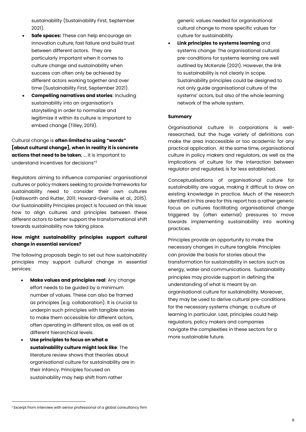sustainability (Sustainability First, September 2021).

- **Safe spaces:** These can help encourage an innovation culture, fast failure and build trust between different actors. They are particularly important when it comes to culture change and sustainability when success can often only be achieved by different actors working together and over time (Sustainability First, September 2021).
- **Compelling narratives and stories**: Including sustainability into an organisation's storytelling in order to normalize and legitimize it within its culture is important to embed change (Tilley, 2019).

Cultural change is **often limited to using "words" [about cultural change], when in reality it is concrete actions that need to be taken**; ... it is important to understand incentives for decisions"<sup>2</sup>

Regulators aiming to influence companies' organisational cultures or policy makers seeking to provide frameworks for sustainability need to consider their own cultures (Hallsworth and Rutter, 2011; Howard-Grenville et al., 2015). Our Sustainability Principles project is focused on this issue: how to align cultures and principles between these different actors to better support the transformational shift towards sustainability now taking place.

## **How might sustainability principles support cultural change in essential services?**

The following proposals begin to set out how sustainability principles may support cultural change in essential services:

- **Make values and principles real**: Any change effort needs to be guided by a minimum number of values. These can also be framed as principles (e.g. collaboration). It is crucial to underpin such principles with tangible stories to make them accessible for different actors, often operating in different silos, as well as at different hierarchical levels.
- **Use principles to focus on what a sustainability culture might look like**: The literature review shows that theories about organisational culture for sustainability are in their infancy. Principles focused on sustainability may help shift from rather

generic values needed for organisational cultural change to more specific values for culture for sustainability.

• **Link principles to systems learning** and systems change: The organisational cultural pre-conditions for systems learning are well outlined by McKenzie (2021). However, the link to sustainability is not clearly in scope. Sustainability principles could be designed to not only guide organisational culture of the systems' actors, but also of the whole learning network of the whole system.

## **Summary**

Organisational culture in corporations is wellresearched, but the huge variety of definitions can make the area inaccessible or too academic for any practical application. At the same time, organisational culture in policy makers and regulators, as well as the implications of culture for the interaction between regulator and regulated, is far less established.

Conceptualisations of organisational culture for sustainability are vague, making it difficult to draw on existing knowledge in practice. Much of the research identified in this area for this report has a rather generic focus on cultures facilitating organisational change triggered by (often external) pressures to move towards implementing sustainability into working practices.

Principles provide an opportunity to make the necessary changes in culture tangible. Principles can provide the basis for stories about the transformation for sustainability in sectors such as energy, water and communications. Sustainability principles may provide support in defining the understanding of what is meant by an organisational culture for sustainability. Moreover, they may be used to derive cultural pre-conditions for the necessary systems change; a culture of learning in particular. Last, principles could help regulators, policy makers and companies navigate the complexities in these sectors for a more sustainable future.

<sup>&</sup>lt;sup>2</sup> Excerpt from interview with senior professional of a global consultancy firm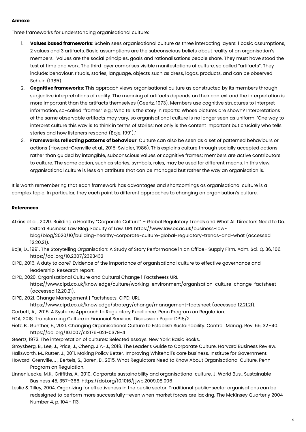## **Annexe**

Three frameworks for understanding organisational culture:

- 1. **Values based frameworks**: Schein sees organisational culture as three interacting layers: 1 basic assumptions, 2 values and 3 artifacts. Basic assumptions are the subconscious beliefs about reality of an organisation's members. Values are the social principles, goals and rationalisations people share. They must have stood the test of time and work. The third layer comprises visible manifestations of culture, so called "artifacts". They include: behaviour, rituals, stories, language, objects such as dress, logos, products, and can be observed Schein (1985).
- 2. **Cognitive frameworks**: This approach views organisational culture as constructed by its members through subjective interpretations of reality. The meaning of artifacts depends on their context and the interpretation is more important than the artifacts themselves (Geertz, 1973). Members use cognitive structures to interpret information, so-called "frames" e.g.: Who tells the story in reports: Whose pictures are shown? Interpretations of the same observable artifacts may vary, so organisational culture is no longer seen as uniform. 'One way to interpret culture this way is to think in terms of stories: not only is the content important but crucially who tells stories and how listeners respond (Boje, 1991).'
- 3. **Frameworks reflecting patterns of behaviour**: Culture can also be seen as a set of patterned behaviours or actions (Howard-Grenville et al., 2015; Swidler, 1986). This explains culture through socially accepted actions rather than guided by intangible, subconscious values or cognitive frames; members are active contributors to culture. The same action, such as stories, symbols, roles, may be used for different means. In this view, organisational culture is less an attribute that can be managed but rather the way an organisation is.

It is worth remembering that each framework has advantages and shortcomings as organisational culture is a complex topic. In particular, they each point to different approaches to changing an organisation's culture.

## **References**

- Atkins et al., 2020. Building a Healthy "Corporate Culture" Global Regulatory Trends and What All Directors Need to Do. Oxford Business Law Blog. Faculty of Law. URL https://www.law.ox.ac.uk/business-lawblog/blog/2020/10/building-healthy-corporate-culture-global-regulatory-trends-and-what (accessed 12.20.21).
- Boje, D., 1991. The Storytelling Organisation: A Study of Story Performance in an Office- Supply Firm. Adm. Sci. Q. 36, 106. https://doi.org/10.2307/2393432
- CIPD, 2016. A duty to care? Evidence of the importance of organisational culture to effective governance and leadership. Research report.

CIPD, 2020. Organisational Culture and Cultural Change | Factsheets URL

https://www.cipd.co.uk/knowledge/culture/working-environment/organisation-culture-change-factsheet (accessed 12.20.21).

- CIPD, 2021. Change Management | Factsheets. CIPD. URL
- https://www.cipd.co.uk/knowledge/strategy/change/management-factsheet (accessed 12.21.21).
- Corbett, A., 2015. A Systems Approach to Regulatory Excellence. Penn Program on Regulation.
- FCA, 2018. Transforming Culture in Financial Services. Discussion Paper DP18/2.
- Fietz, B., Günther, E., 2021. Changing Organisational Culture to Establish Sustainability. Control. Manag. Rev. 65, 32–40. https://doi.org/10.1007/s12176-021-0379-4
- Geertz, 1973. The interpretation of cultures: Selected essays. New York: Basic Books.
- Groysberg, B., Lee, J., Price, J., Cheng, J.Y.-J., 2018. The Leader's Guide to Corporate Culture. Harvard Business Review.

Hallsworth, M., Rutter, J., 2011. Making Policy Better. Improving Whitehall's core business. Institute for Government. Howard-Grenville, J., Bertels, S., Boren, B., 2015. What Regulators Need to Know About Organisational Culture. Penn

Program on Regulation.

- Linnenluecke, M.K., Griffiths, A., 2010. Corporate sustainability and organisational culture. J. World Bus., Sustainable Business 45, 357–366. https://doi.org/10.1016/j.jwb.2009.08.006
- Leslie & Tilley, 2004. Organizing for effectiveness in the public sector. Traditional public-sector organisations can be redesigned to perform more successfully—even when market forces are lacking. The McKinsey Quarterly 2004 Number 4, p. 104 - 113.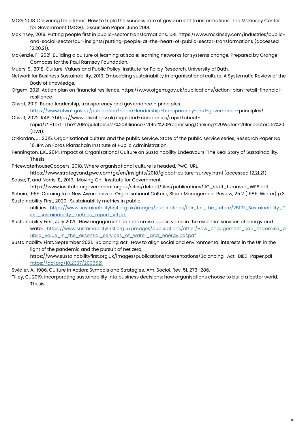- MCG, 2018. Delivering for citizens. How to triple the success rate of government transformations. The McKinsey Center for Government (MCG). Discussion Paper. June 2018.
- McKinsey, 2019. Putting people first in public-sector transformations. URL https://www.mckinsey.com/industries/publicand-social-sector/our-insights/putting-people-at-the-heart-of-public-sector-transformations (accessed 12.20.21).
- McKenzie, F., 2021. Building a culture of learning at scale: learning networks for systems change. Prepared by Orange Compass for the Paul Ramsay Foundation.
- Muers, S., 2018. Culture, Values and Public Policy. Institute for Policy Research. University of Bath.
- Network for Business Sustainability, 2010. Embedding sustainability in organisational culture. A Systematic Review of the Body of Knowledge.
- Ofgem, 2021. Action plan on financial resilience. https://www.ofgem.gov.uk/publications/action-plan-retail-financialresilience
- Ofwat, 2019. Board leadership, transparency and governance principles. https://www.ofwat.gov.uk/publication/board-leadership-transparency-and-governance-principles/
- Ofwat, 2022. RAPID https://www.ofwat.gov.uk/regulated-companies/rapid/aboutrapid/#:~:text=The%20Regulators%27%20Alliance%20for%20Progressing,Drinking%20Water%20Inspectorate%20 (DWI).
- O'Riordan, J., 2015. Organisational culture and the public service. State of the public service series, Research Paper No 16. IPA An Foras Riarachain Institute of Public Administration.
- Pennington, L.K., 2014. Impact of Organisational Culture on Sustainability Endeavours: The Real Story of Sustainability. Thesis.
- PricewaterhouseCoopers, 2018. Where organisational culture is headed. PwC. URL
- https://www.strategyand.pwc.com/gx/en/insights/2018/global-culture-survey.html (accessed 12.21.21). Sasse, T, and Norris, E., 2019. Moving On. Institute for Government
- https://www.instituteforgovernment.org.uk/sites/default/files/publications/IfG\_staff\_turnover\_WEB.pdf Schein, 1985. Coming to a New Awareness of Organisational Culture, Sloan Management Review, 25:2 (1985: Winter) p.3 Sustainability First, 2020. Sustainability metrics in public
	- utilities. [https://www.sustainabilityfirst.org.uk/images/publications/fair\\_for\\_the\\_future/25191\\_Sustainability\\_F](https://www.sustainabilityfirst.org.uk/images/publications/fair_for_the_future/25191_Sustainability_First_sustainability_metrics_report_v9.pdf) [irst\\_sustainability\\_metrics\\_report\\_v9.pdf](https://www.sustainabilityfirst.org.uk/images/publications/fair_for_the_future/25191_Sustainability_First_sustainability_metrics_report_v9.pdf)
- Sustainability First, July 2021. How engagement can maximise public value in the essential services of energy and water. [https://www.sustainabilityfirst.org.uk/images/publications/other/How\\_engagement\\_can\\_maximise\\_p](https://www.sustainabilityfirst.org.uk/images/publications/other/How_engagement_can_maximise_public_value_in_the_essential_services_of_water_and_energy.pdf.pdf) [ublic\\_value\\_in\\_the\\_essential\\_services\\_of\\_water\\_and\\_energy.pdf.pdf](https://www.sustainabilityfirst.org.uk/images/publications/other/How_engagement_can_maximise_public_value_in_the_essential_services_of_water_and_energy.pdf.pdf)
- Sustainability First, September 2021. Balancing act. How to align social and environmental interests in the UK in the light of the pandemic and the pursuit of net zero.
	- https://www.sustainabilityfirst.org.uk/images/publications/presentations/Balancing\_Act\_BIEE\_Paper.pdf <https://doi.org/10.2307/2095521>
- Swidler, A., 1986. Culture in Action: Symbols and Strategies. Am. Sociol. Rev. 51, 273–286.
- Tilley, C., 2019. Incorporating sustainability into business decisions: how organisations choose to build a better world. Thesis.